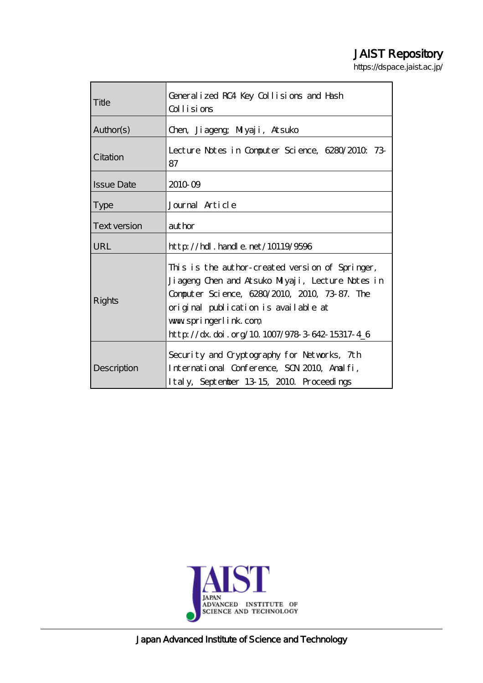# JAIST Repository

https://dspace.jaist.ac.jp/

| Title               | Generalized RC4 Key Collisions and Hash<br>Collisions                                                                                                                                                                                                                 |
|---------------------|-----------------------------------------------------------------------------------------------------------------------------------------------------------------------------------------------------------------------------------------------------------------------|
| Author(s)           | Chen, Jiageng; Miyaji, Atsuko                                                                                                                                                                                                                                         |
| Citation            | Lecture Notes in Computer Science, 6280/2010 73<br>87                                                                                                                                                                                                                 |
| <b>Issue Date</b>   | 2010 09                                                                                                                                                                                                                                                               |
| <b>Type</b>         | Journal Article                                                                                                                                                                                                                                                       |
| <b>Text version</b> | author                                                                                                                                                                                                                                                                |
| <b>URL</b>          | http://hdl.handle.net/10119/9596                                                                                                                                                                                                                                      |
| Rights              | This is the author-created version of Springer,<br>Jiageng Chen and Atsuko Miyaji, Lecture Notes in<br>Computer Science, 6280/2010, 2010, 73-87. The<br>original publication is available at<br>www.springerlink.com<br>http://dx.doi.org/10.1007/978-3-642-15317-4_6 |
| Description         | Security and Cryptography for Networks, 7th<br>International Conference, SCN 2010, Analfi,<br>Italy, September 13-15, 2010. Proceedings                                                                                                                               |



Japan Advanced Institute of Science and Technology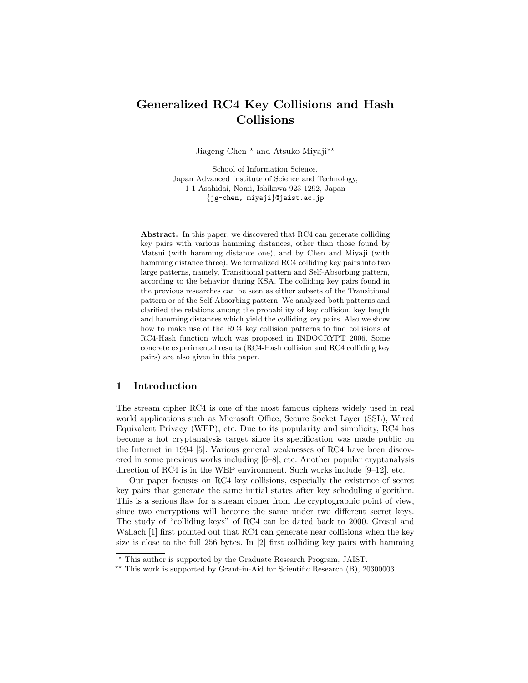## Generalized RC4 Key Collisions and Hash Collisions

Jiageng Chen  $*$  and Atsuko Miyaji $**$ 

School of Information Science, Japan Advanced Institute of Science and Technology, 1-1 Asahidai, Nomi, Ishikawa 923-1292, Japan {jg-chen, miyaji}@jaist.ac.jp

Abstract. In this paper, we discovered that RC4 can generate colliding key pairs with various hamming distances, other than those found by Matsui (with hamming distance one), and by Chen and Miyaji (with hamming distance three). We formalized RC4 colliding key pairs into two large patterns, namely, Transitional pattern and Self-Absorbing pattern, according to the behavior during KSA. The colliding key pairs found in the previous researches can be seen as either subsets of the Transitional pattern or of the Self-Absorbing pattern. We analyzed both patterns and clarified the relations among the probability of key collision, key length and hamming distances which yield the colliding key pairs. Also we show how to make use of the RC4 key collision patterns to find collisions of RC4-Hash function which was proposed in INDOCRYPT 2006. Some concrete experimental results (RC4-Hash collision and RC4 colliding key pairs) are also given in this paper.

## 1 Introduction

The stream cipher RC4 is one of the most famous ciphers widely used in real world applications such as Microsoft Office, Secure Socket Layer (SSL), Wired Equivalent Privacy (WEP), etc. Due to its popularity and simplicity, RC4 has become a hot cryptanalysis target since its specification was made public on the Internet in 1994 [5]. Various general weaknesses of RC4 have been discovered in some previous works including [6–8], etc. Another popular cryptanalysis direction of RC4 is in the WEP environment. Such works include [9–12], etc.

Our paper focuses on RC4 key collisions, especially the existence of secret key pairs that generate the same initial states after key scheduling algorithm. This is a serious flaw for a stream cipher from the cryptographic point of view, since two encryptions will become the same under two different secret keys. The study of "colliding keys" of RC4 can be dated back to 2000. Grosul and Wallach [1] first pointed out that RC4 can generate near collisions when the key size is close to the full 256 bytes. In [2] first colliding key pairs with hamming

<sup>?</sup> This author is supported by the Graduate Research Program, JAIST.

<sup>\*\*</sup> This work is supported by Grant-in-Aid for Scientific Research (B), 20300003.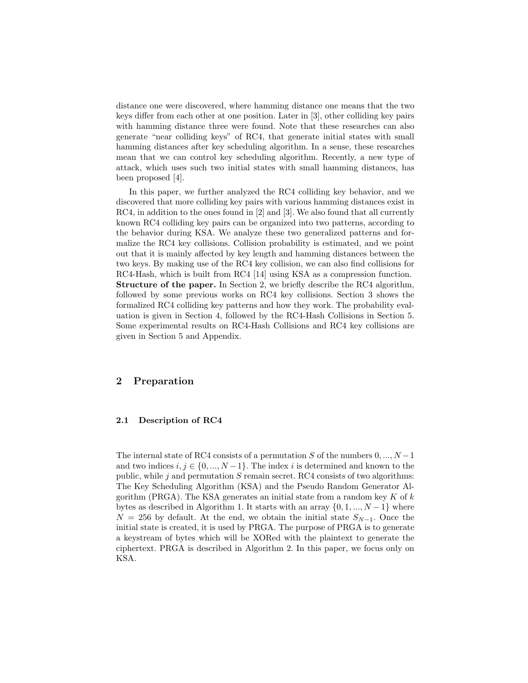distance one were discovered, where hamming distance one means that the two keys differ from each other at one position. Later in [3], other colliding key pairs with hamming distance three were found. Note that these researches can also generate "near colliding keys" of RC4, that generate initial states with small hamming distances after key scheduling algorithm. In a sense, these researches mean that we can control key scheduling algorithm. Recently, a new type of attack, which uses such two initial states with small hamming distances, has been proposed [4].

In this paper, we further analyzed the RC4 colliding key behavior, and we discovered that more colliding key pairs with various hamming distances exist in RC4, in addition to the ones found in [2] and [3]. We also found that all currently known RC4 colliding key pairs can be organized into two patterns, according to the behavior during KSA. We analyze these two generalized patterns and formalize the RC4 key collisions. Collision probability is estimated, and we point out that it is mainly affected by key length and hamming distances between the two keys. By making use of the RC4 key collision, we can also find collisions for RC4-Hash, which is built from RC4 [14] using KSA as a compression function. Structure of the paper. In Section 2, we briefly describe the RC4 algorithm, followed by some previous works on RC4 key collisions. Section 3 shows the formalized RC4 colliding key patterns and how they work. The probability evaluation is given in Section 4, followed by the RC4-Hash Collisions in Section 5. Some experimental results on RC4-Hash Collisions and RC4 key collisions are given in Section 5 and Appendix.

## 2 Preparation

#### 2.1 Description of RC4

The internal state of RC4 consists of a permutation S of the numbers  $0, ..., N - 1$ and two indices  $i, j \in \{0, ..., N-1\}$ . The index i is determined and known to the public, while  $j$  and permutation  $S$  remain secret. RC4 consists of two algorithms: The Key Scheduling Algorithm (KSA) and the Pseudo Random Generator Algorithm (PRGA). The KSA generates an initial state from a random key  $K$  of  $k$ bytes as described in Algorithm 1. It starts with an array  $\{0, 1, ..., N-1\}$  where  $N = 256$  by default. At the end, we obtain the initial state  $S_{N-1}$ . Once the initial state is created, it is used by PRGA. The purpose of PRGA is to generate a keystream of bytes which will be XORed with the plaintext to generate the ciphertext. PRGA is described in Algorithm 2. In this paper, we focus only on KSA.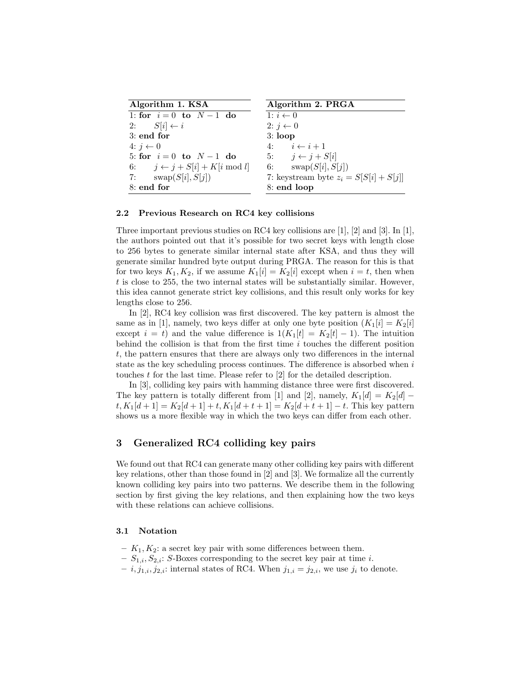| Algorithm 1. KSA                         | Algorithm 2. PRGA                        |
|------------------------------------------|------------------------------------------|
| 1: for $i=0$ to $N-1$ do                 | 1: $i \leftarrow 0$                      |
| 2: $S[i] \leftarrow i$                   | 2: $j \leftarrow 0$                      |
| $3:$ end for                             | $3:$ loop                                |
| $4: j \leftarrow 0$                      | 4: $i \leftarrow i+1$                    |
| 5: for $i = 0$ to $N - 1$ do             | 5: $j \leftarrow j + S[i]$               |
| 6: $j \leftarrow j + S[i] + K[i \mod l]$ | 6: $swap(S[i], S[j])$                    |
| 7: $swap(S[i], S[j])$                    | 7: keystream byte $z_i = S[S[i] + S[j]]$ |
| 8: end for                               | 8: end loop                              |

#### 2.2 Previous Research on RC4 key collisions

Three important previous studies on RC4 key collisions are  $[1]$ ,  $[2]$  and  $[3]$ . In  $[1]$ , the authors pointed out that it's possible for two secret keys with length close to 256 bytes to generate similar internal state after KSA, and thus they will generate similar hundred byte output during PRGA. The reason for this is that for two keys  $K_1, K_2$ , if we assume  $K_1[i] = K_2[i]$  except when  $i = t$ , then when  $t$  is close to 255, the two internal states will be substantially similar. However, this idea cannot generate strict key collisions, and this result only works for key lengths close to 256.

In [2], RC4 key collision was first discovered. The key pattern is almost the same as in [1], namely, two keys differ at only one byte position  $(K_1[i] = K_2[i]$ except  $i = t$ ) and the value difference is  $1(K_1[t] = K_2[t] - 1)$ . The intuition behind the collision is that from the first time  $i$  touches the different position t, the pattern ensures that there are always only two differences in the internal state as the key scheduling process continues. The difference is absorbed when  $i$ touches  $t$  for the last time. Please refer to  $[2]$  for the detailed description.

In [3], colliding key pairs with hamming distance three were first discovered. The key pattern is totally different from [1] and [2], namely,  $K_1[d] = K_2[d]$  –  $t, K_1[d+1] = K_2[d+1] + t, K_1[d+t+1] = K_2[d+t+1] - t.$  This key pattern shows us a more flexible way in which the two keys can differ from each other.

## 3 Generalized RC4 colliding key pairs

We found out that RC4 can generate many other colliding key pairs with different key relations, other than those found in [2] and [3]. We formalize all the currently known colliding key pairs into two patterns. We describe them in the following section by first giving the key relations, and then explaining how the two keys with these relations can achieve collisions.

### 3.1 Notation

- $K_1, K_2$ : a secret key pair with some differences between them.
- $S_{1,i}, S_{2,i}:$  S-Boxes corresponding to the secret key pair at time i.
- $i, j_{1,i}, j_{2,i}$ : internal states of RC4. When  $j_{1,i} = j_{2,i}$ , we use  $j_i$  to denote.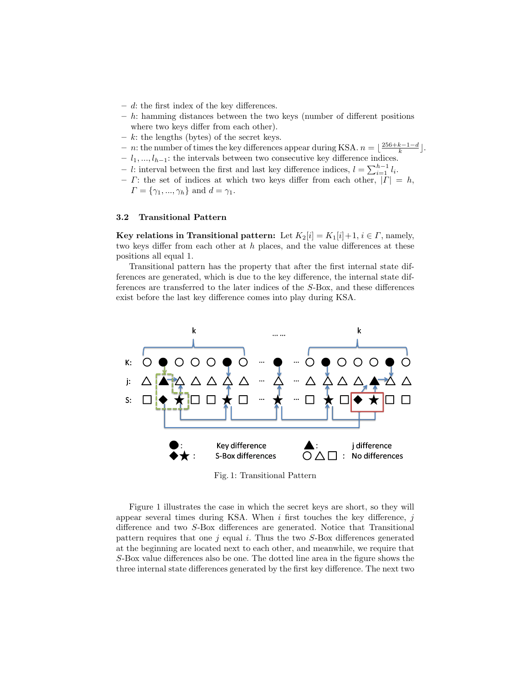- $d$ : the first index of the key differences.
- $h$ : hamming distances between the two keys (number of different positions where two keys differ from each other).
- $k$ : the lengths (bytes) of the secret keys.
- − *n*: the number of times the key differences appear during KSA.  $n = \lfloor \frac{256+k-1-d}{k} \rfloor$ .
- $l_1, ..., l_{h-1}$ : the intervals between two consecutive key difference indices.
- − l: interval between the first and last key difference indices,  $l = \sum_{i=1}^{h-1} l_i$ .
- $\Gamma$ : the set of indices at which two keys differ from each other,  $|\Gamma| = h$ ,  $\Gamma = \{\gamma_1, ..., \gamma_h\}$  and  $d = \gamma_1$ .

## 3.2 Transitional Pattern

Key relations in Transitional pattern: Let  $K_2[i] = K_1[i] + 1, i \in \Gamma$ , namely, two keys differ from each other at  $h$  places, and the value differences at these positions all equal 1.

Transitional pattern has the property that after the first internal state differences are generated, which is due to the key difference, the internal state differences are transferred to the later indices of the S-Box, and these differences exist before the last key difference comes into play during KSA.



Fig. 1: Transitional Pattern

Figure 1 illustrates the case in which the secret keys are short, so they will appear several times during KSA. When  $i$  first touches the key difference,  $j$ difference and two S-Box differences are generated. Notice that Transitional pattern requires that one  $j$  equal  $i$ . Thus the two  $S$ -Box differences generated at the beginning are located next to each other, and meanwhile, we require that S-Box value differences also be one. The dotted line area in the figure shows the three internal state differences generated by the first key difference. The next two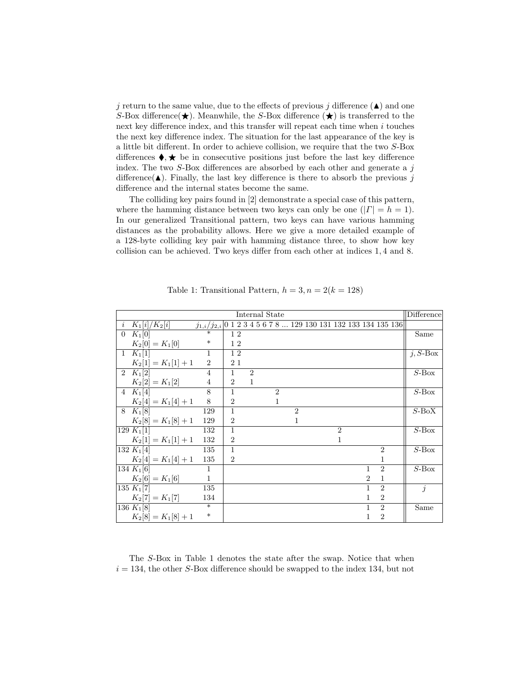j return to the same value, due to the effects of previous j difference  $(\triangle)$  and one S-Box difference  $\star$ ). Meanwhile, the S-Box difference  $\star$  is transferred to the next key difference index, and this transfer will repeat each time when  $i$  touches the next key difference index. The situation for the last appearance of the key is a little bit different. In order to achieve collision, we require that the two S-Box differences  $\blacklozenge, \blacklozenge$  be in consecutive positions just before the last key difference index. The two  $S$ -Box differences are absorbed by each other and generate a  $j$ difference( $\blacktriangle$ ). Finally, the last key difference is there to absorb the previous j difference and the internal states become the same.

The colliding key pairs found in [2] demonstrate a special case of this pattern, where the hamming distance between two keys can only be one  $(|\Gamma| = h = 1)$ . In our generalized Transitional pattern, two keys can have various hamming distances as the probability allows. Here we give a more detailed example of a 128-byte colliding key pair with hamming distance three, to show how key collision can be achieved. Two keys differ from each other at indices 1, 4 and 8.

| Internal State |                      |                   |                |                             |  |                             |                | <b>Difference</b> |                |                             |                                                                                     |             |
|----------------|----------------------|-------------------|----------------|-----------------------------|--|-----------------------------|----------------|-------------------|----------------|-----------------------------|-------------------------------------------------------------------------------------|-------------|
|                | $i \; K_1[i]/K_2[i]$ |                   |                |                             |  |                             |                |                   |                |                             | $j_{1,i}/j_{2,i} 0\ 1\ 2\ 3\ 4\ 5\ 6\ 7\ 8\ \ldots$ 129 130 131 132 133 134 135 136 |             |
|                | $0 K_1[0]$           |                   | 12             |                             |  |                             |                |                   |                |                             |                                                                                     | Same        |
|                | $K_2[0] = K_1[0]$    | $\ast$            | 12             |                             |  |                             |                |                   |                |                             |                                                                                     |             |
|                | 1 $K_1[1]$           | 1                 | 12             |                             |  |                             |                |                   |                |                             |                                                                                     | $j, S$ -Box |
|                | $K_2[1] = K_1[1]+1$  | $\overline{2}$    | 21             |                             |  |                             |                |                   |                |                             |                                                                                     |             |
|                | 2 $K_1[2]$           | $\overline{4}$    | $\mathbf{1}$   | $\mathcal{D}_{\mathcal{L}}$ |  |                             |                |                   |                |                             |                                                                                     | $S$ -Box    |
|                | $K_2[2] = K_1[2]$    | $\overline{4}$    | $\overline{2}$ | $\mathbf{1}$                |  |                             |                |                   |                |                             |                                                                                     |             |
|                | 4 $K_1[4]$           | 8                 | $\mathbf{1}$   |                             |  | $\mathcal{D}_{\mathcal{L}}$ |                |                   |                |                             |                                                                                     | $S$ -Box    |
|                | $K_2[4] = K_1[4]+1$  | 8                 | $\overline{2}$ |                             |  | $\mathbf{1}$                |                |                   |                |                             |                                                                                     |             |
|                | 8 K <sub>1</sub> [8] | 129               | $\mathbf{1}$   |                             |  |                             | $\mathfrak{D}$ |                   |                |                             |                                                                                     | $S$ -BoX    |
|                | $K_2[8] = K_1[8]+1$  | 129               | $\overline{2}$ |                             |  |                             | 1              |                   |                |                             |                                                                                     |             |
|                | 129 $K_1[1]$         | 132               | $\mathbf{1}$   |                             |  |                             |                |                   | $\mathfrak{D}$ |                             |                                                                                     | $S$ -Box    |
|                | $K_2[1] = K_1[1]+1$  | 132               | $\overline{2}$ |                             |  |                             |                |                   | 1              |                             |                                                                                     |             |
|                | 132 $K_1[4]$         | 135               | $\mathbf{1}$   |                             |  |                             |                |                   |                |                             | $\overline{2}$                                                                      | $S$ -Box    |
|                | $K_2[4] = K_1[4]+1$  | 135               | $\overline{2}$ |                             |  |                             |                |                   |                |                             | 1                                                                                   |             |
|                | 134 $K_1[6]$         | $\mathbf{1}$      |                |                             |  |                             |                |                   |                | $\mathbf{1}$                | $\mathcal{D}$                                                                       | $S$ -Box    |
|                | $K_2[6] = K_1[6]$    | $\mathbf{1}$      |                |                             |  |                             |                |                   |                | $\mathcal{D}_{\mathcal{L}}$ | $\mathbf{1}$                                                                        |             |
|                | 135 $K_1[7]$         | 135               |                |                             |  |                             |                |                   |                | 1                           | $\mathcal{D}_{\mathcal{L}}$                                                         | $\dot{j}$   |
|                | $K_2[7] = K_1[7]$    | 134               |                |                             |  |                             |                |                   |                | 1                           | $\overline{2}$                                                                      |             |
|                | 136 $K_1[8]$         | $\overline{\ast}$ |                |                             |  |                             |                |                   |                | 1                           | $\overline{2}$                                                                      | Same        |
|                | $K_2[8] = K_1[8]+1$  | $\ast$            |                |                             |  |                             |                |                   |                | 1                           | $\overline{2}$                                                                      |             |

Table 1: Transitional Pattern,  $h = 3, n = 2(k = 128)$ 

The S-Box in Table 1 denotes the state after the swap. Notice that when  $i = 134$ , the other S-Box difference should be swapped to the index 134, but not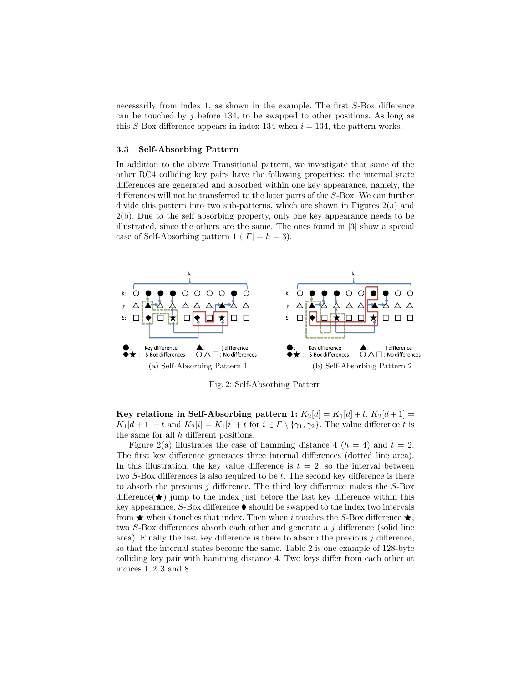necessarily from index 1, as shown in the example. The first S-Box difference can be touched by j before 134, to be swapped to other positions. As long as this S-Box difference appears in index 134 when  $i = 134$ , the pattern works.

#### 3.3 Self-Absorbing Pattern

In addition to the above Transitional pattern, we investigate that some of the other RC4 colliding key pairs have the following properties: the internal state differences are generated and absorbed within one key appearance, namely, the differences will not be transferred to the later parts of the S-Box. We can further divide this pattern into two sub-patterns, which are shown in Figures 2(a) and 2(b). Due to the self absorbing property, only one key appearance needs to be illustrated, since the others are the same. The ones found in [3] show a special case of Self-Absorbing pattern 1 ( $|\Gamma|=h=3$ ).



Fig. 2: Self-Absorbing Pattern

Key relations in Self-Absorbing pattern 1:  $K_2[d] = K_1[d] + t$ ,  $K_2[d+1] =$  $K_1[d+1]-t$  and  $K_2[i]=K_1[i]+t$  for  $i\in\Gamma\setminus\{\gamma_1,\gamma_2\}$ . The value difference t is the same for all h different positions.

Figure 2(a) illustrates the case of hamming distance 4 ( $h = 4$ ) and  $t = 2$ . The first key difference generates three internal differences (dotted line area). In this illustration, the key value difference is  $t = 2$ , so the interval between two S-Box differences is also required to be t. The second key difference is there to absorb the previous  $j$  difference. The third key difference makes the  $S$ -Box difference  $\star$ ) jump to the index just before the last key difference within this key appearance. S-Box difference  $\blacklozenge$  should be swapped to the index two intervals from  $\star$  when i touches that index. Then when i touches the S-Box difference  $\star$ , two S-Box differences absorb each other and generate a j difference (solid line area). Finally the last key difference is there to absorb the previous  $j$  difference, so that the internal states become the same. Table 2 is one example of 128-byte colliding key pair with hamming distance 4. Two keys differ from each other at indices 1, 2, 3 and 8.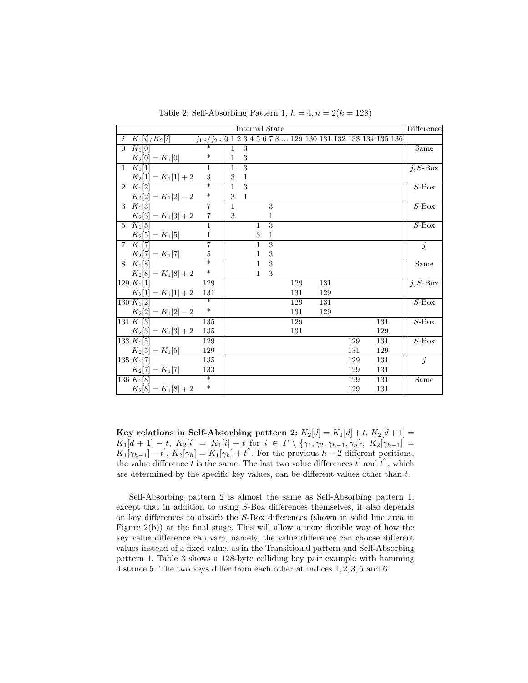| Internal State |                            |                                                                                |              |                |                |                |  |     |  | Difference |     |     |  |                          |
|----------------|----------------------------|--------------------------------------------------------------------------------|--------------|----------------|----------------|----------------|--|-----|--|------------|-----|-----|--|--------------------------|
|                | $i \, K_1[i]/K_2[i]$       | $j_{1,i}/j_{2,i} 0$ 1 2 3 4 5<br>6 7 8 $\dots$ 129 130 131 132 133 134 135 136 |              |                |                |                |  |     |  |            |     |     |  |                          |
| $\overline{0}$ | $K_1[0]$                   | $\overline{\ast}$                                                              | 1            | 3              |                |                |  |     |  |            |     |     |  | Same                     |
|                | $K_2[0] = K_1[0]$          | $\ast$                                                                         | $\mathbf{1}$ | 3              |                |                |  |     |  |            |     |     |  |                          |
|                | 1 $K_1[1]$                 | $\mathbf{1}$                                                                   | $\mathbf{1}$ | 3              |                |                |  |     |  |            |     |     |  | $j, S$ -Box              |
|                | $K_2[1] = K_1[1] + 2$      | 3                                                                              | 3            | $\mathbf{1}$   |                |                |  |     |  |            |     |     |  |                          |
|                | $\overline{2\ K_1}$ [2]    | $\overline{\ast}$                                                              | $\mathbf{1}$ | $\overline{3}$ |                |                |  |     |  |            |     |     |  | $S$ -Box                 |
|                | $K_2[2] = K_1[2] - 2$      | $\ast$                                                                         | 3            | $\mathbf{1}$   |                |                |  |     |  |            |     |     |  |                          |
|                | $3 K_1[3]$                 | $\overline{7}$                                                                 | $\mathbf{1}$ |                |                | 3              |  |     |  |            |     |     |  | $S$ -Box                 |
|                | $K_2[3] = K_1[3] + 2$      | $\overline{7}$                                                                 | 3            |                |                | 1              |  |     |  |            |     |     |  |                          |
|                | $\overline{5\quad K_1[5]}$ | $\overline{1}$                                                                 |              |                | $\mathbf{1}$   | $\overline{3}$ |  |     |  |            |     |     |  | $S$ -Box                 |
|                | $K_2[5] = K_1[5]$          | $\mathbf{1}$                                                                   |              |                | 3              | $\mathbf{1}$   |  |     |  |            |     |     |  |                          |
|                | $7 K_1[7]$                 | $\overline{7}$                                                                 |              |                | $\mathbf{1}$   | 3              |  |     |  |            |     |     |  | j                        |
|                | $K_2[7] = K_1[7]$          | $\overline{5}$                                                                 |              |                | $\mathbf{1}$   | 3              |  |     |  |            |     |     |  |                          |
|                | $8 K_1[8]$                 | ¥                                                                              |              |                | $\overline{1}$ | $\overline{3}$ |  |     |  |            |     |     |  | $\overline{\text{Same}}$ |
|                | $K_2[8] = K_1[8] + 2$      | $\ast$                                                                         |              |                | $\mathbf{1}$   | 3              |  |     |  |            |     |     |  |                          |
|                | 129 $K_1[1]$               | 129                                                                            |              |                |                |                |  | 129 |  | 131        |     |     |  | $j, S$ -Box              |
|                | $K_2[1] = K_1[1] + 2$      | 131                                                                            |              |                |                |                |  | 131 |  | 129        |     |     |  |                          |
|                | $130 K_1[2]$               | $\ast$                                                                         |              |                |                |                |  | 129 |  | 131        |     |     |  | $S$ -Box                 |
|                | $K_2[2] = K_1[2] - 2$      | $\ast$                                                                         |              |                |                |                |  | 131 |  | 129        |     |     |  |                          |
|                | 131 K <sub>1</sub> [3]     | 135                                                                            |              |                |                |                |  | 129 |  |            |     | 131 |  | $\overline{S}$ -Box      |
|                | $K_2[3] = K_1[3] + 2$      | 135                                                                            |              |                |                |                |  | 131 |  |            |     | 129 |  |                          |
|                | 133 K <sub>1</sub> [5]     | 129                                                                            |              |                |                |                |  |     |  |            | 129 | 131 |  | $S$ -Box                 |
|                | $K_2[5] = K_1[5]$          | 129                                                                            |              |                |                |                |  |     |  |            | 131 | 129 |  |                          |
|                | $135 K_1[7]$               | 135                                                                            |              |                |                |                |  |     |  |            | 129 | 131 |  | $\overline{j}$           |
|                | $K_2[7] = K_1[7]$          | 133                                                                            |              |                |                |                |  |     |  |            | 129 | 131 |  |                          |
|                | $ 136 K_1 8 $              | $\ast$                                                                         |              |                |                |                |  |     |  |            | 129 | 131 |  | $\bar{S}$ ame            |
|                | $K_2[8] = K_1[8] + 2$      | $\ast$                                                                         |              |                |                |                |  |     |  |            | 129 | 131 |  |                          |

Table 2: Self-Absorbing Pattern 1,  $h = 4, n = 2(k = 128)$ 

Key relations in Self-Absorbing pattern 2:  $K_2[d] = K_1[d] + t$ ,  $K_2[d+1] =$  $K_1[d+1]-t, K_2[i] = K_1[i]+t$  for  $i \in \Gamma \setminus \{\gamma_1, \gamma_2, \gamma_{h-1}, \gamma_h\}, K_2[\gamma_{h-1}] =$  $K_1[\gamma_{h-1}] - t$ ,  $K_2[\gamma_h] = K_1[\gamma_h] + t$ ". For the previous  $h-2$  different positions, the value difference t is the same. The last two value differences  $t'$  and  $t''$ , which are determined by the specific key values, can be different values other than t.

Self-Absorbing pattern 2 is almost the same as Self-Absorbing pattern 1, except that in addition to using S-Box differences themselves, it also depends on key differences to absorb the S-Box differences (shown in solid line area in Figure  $2(b)$ ) at the final stage. This will allow a more flexible way of how the key value difference can vary, namely, the value difference can choose different values instead of a fixed value, as in the Transitional pattern and Self-Absorbing pattern 1. Table 3 shows a 128-byte colliding key pair example with hamming distance 5. The two keys differ from each other at indices  $1, 2, 3, 5$  and 6.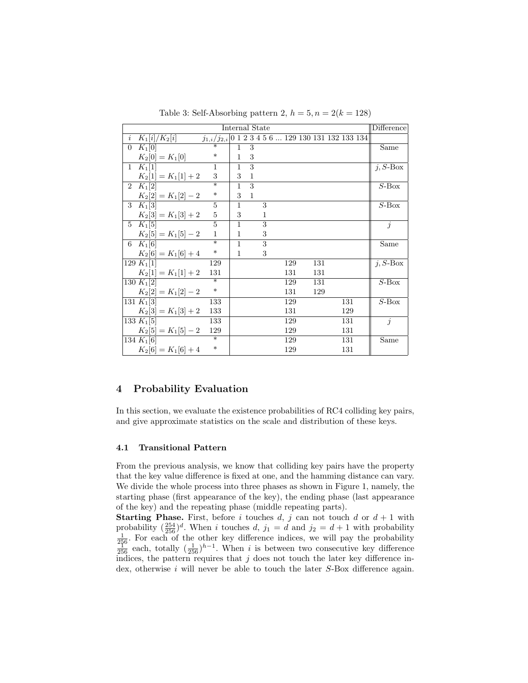|                | Internal State            |                                                                             |              |                |   |     |  |     |     | Difference |             |
|----------------|---------------------------|-----------------------------------------------------------------------------|--------------|----------------|---|-----|--|-----|-----|------------|-------------|
| $\dot{i}$      | $K_1[i]/K_2[i]$           | $j_{1,i}/j_{2,i} 0$ 1 2 3 4 5 6 $\overline{\ldots}$ 129 130 131 132 133 134 |              |                |   |     |  |     |     |            |             |
| $\overline{0}$ | $K_1[0]$                  |                                                                             | $\mathbf{1}$ | 3              |   |     |  |     |     |            | Same        |
|                | $K_2[0] = K_1[0]$         | $\ast$                                                                      | $\mathbf{1}$ | 3              |   |     |  |     |     |            |             |
|                | $1 K_1[1]$                | $\mathbf{1}$                                                                | $\mathbf{1}$ | 3              |   |     |  |     |     |            | $j, S$ -Box |
|                | $K_2[1] = K_1[1] + 2$     | 3                                                                           | 3            | $\mathbf{1}$   |   |     |  |     |     |            |             |
|                | 2 $K_1[2]$                | $\overline{\ast}$                                                           | $\mathbf{1}$ | 3              |   |     |  |     |     |            | $S$ -Box    |
|                | $K_2[2] = K_1[2] - 2$     | $\ast$                                                                      | 3            | $\overline{1}$ |   |     |  |     |     |            |             |
|                | $\overline{3}$ $K_1[3]$   | 5                                                                           | $\mathbf{1}$ |                | 3 |     |  |     |     |            | $S$ -Box    |
|                | $K_2[3] = K_1[3] + 2$     | 5                                                                           | 3            |                | 1 |     |  |     |     |            |             |
|                | 5 $K_1[5]$                | $\overline{5}$                                                              | $\mathbf{1}$ |                | 3 |     |  |     |     |            | $\dot{j}$   |
|                | $K_2[5] = K_1[5] - 2$     | $\mathbf{1}$                                                                | $\mathbf{1}$ |                | 3 |     |  |     |     |            |             |
|                | 6 $K_1[6]$                | $\overline{\ast}$                                                           | $\mathbf{1}$ |                | 3 |     |  |     |     |            | Same        |
|                | $K_2[6] = K_1[6] + 4$     | $\ast$                                                                      | $\mathbf{1}$ |                | 3 |     |  |     |     |            |             |
|                | 129 $K_1[1]$              | 129                                                                         |              |                |   | 129 |  | 131 |     |            | $i, S$ -Box |
|                | $K_2[1] = K_1[1] + 2$     | 131                                                                         |              |                |   | 131 |  | 131 |     |            |             |
|                | 130 $K_1[2]$              | $\overline{\ast}$                                                           |              |                |   | 129 |  | 131 |     |            | $S$ -Box    |
|                | $K_2[2] = K_1[2]-2$       | $\ast$                                                                      |              |                |   | 131 |  | 129 |     |            |             |
|                | 131 $K_1[3]$              | 133                                                                         |              |                |   | 129 |  |     | 131 |            | $S$ -Box    |
|                | $K_2[3] = K_1[3] + 2$     | 133                                                                         |              |                |   | 131 |  |     | 129 |            |             |
|                | 133 $K_1[5]$              | 133                                                                         |              |                |   | 129 |  |     | 131 |            | $\dot{j}$   |
|                | $K_2[5] = K_1[5] - 2$ 129 |                                                                             |              |                |   | 129 |  |     | 131 |            |             |
|                | 134 $K_1[6]$              | $\overline{\ast}$                                                           |              |                |   | 129 |  |     | 131 |            | Same        |
|                | $K_2[6] = K_1[6] + 4$     | $\ast$                                                                      |              |                |   | 129 |  |     | 131 |            |             |

Table 3: Self-Absorbing pattern 2,  $h = 5, n = 2(k = 128)$ 

## 4 Probability Evaluation

In this section, we evaluate the existence probabilities of RC4 colliding key pairs, and give approximate statistics on the scale and distribution of these keys.

#### 4.1 Transitional Pattern

From the previous analysis, we know that colliding key pairs have the property that the key value difference is fixed at one, and the hamming distance can vary. We divide the whole process into three phases as shown in Figure 1, namely, the starting phase (first appearance of the key), the ending phase (last appearance of the key) and the repeating phase (middle repeating parts).

**Starting Phase.** First, before i touches d, j can not touch d or  $d + 1$  with probability  $(\frac{254}{256})^d$ . When *i* touches *d*,  $j_1 = d$  and  $j_2 = d + 1$  with probability  $\frac{1}{256}$ . For each of the other key difference indices, we will pay the probability  $\frac{1}{256}$  each, totally  $(\frac{1}{256})^{h-1}$ . indices, the pattern requires that  $j$  does not touch the later key difference index, otherwise i will never be able to touch the later S-Box difference again.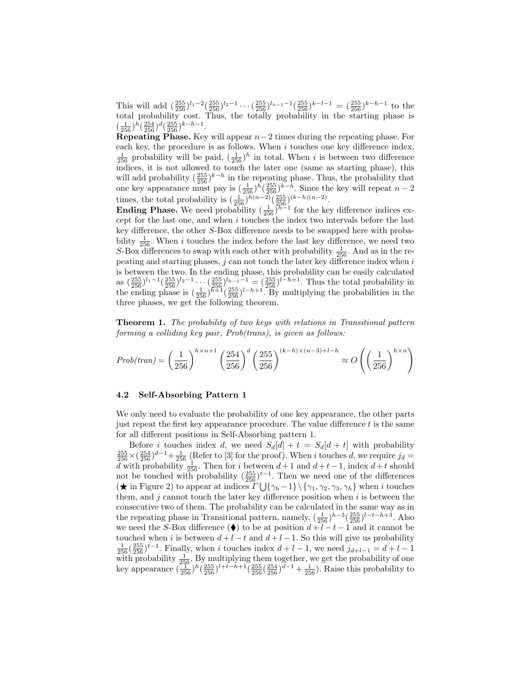This will add  $\left(\frac{255}{256}\right)^{l_1-2}\left(\frac{255}{256}\right)^{l_2-1}\cdots\left(\frac{255}{256}\right)^{l_{h-1}-1}\left(\frac{255}{256}\right)^{k-l-1} = \left(\frac{255}{256}\right)^{k-h-1}$  to the total probability cost. Thus, the totally probability in the starting phase is  $\left(\frac{1}{256}\right)h\left(\frac{254}{256}\right)d\left(\frac{255}{256}\right)k-h-1.$ 

Repeating Phase. Key will appear  $n-2$  times during the repeating phase. For each key, the procedure is as follows. When  $i$  touches one key difference index,  $\frac{1}{256}$  probability will be paid,  $(\frac{1}{256})^h$  in total. When *i* is between two difference indices, it is not allowed to touch the later one (same as starting phase), this will add probability  $\left(\frac{255}{256}\right)^{k-h}$  in the repeating phase. Thus, the probability that one key appearance must pay is  $(\frac{1}{256})^h(\frac{255}{256})^{k-h}$ . Since the key will repeat  $n-2$ times, the total probability is  $\left(\frac{1}{256}\right)^{\bar{h}(n-2)} \left(\frac{255}{256}\right)^{(k-h)(n-2)}$ .

**Ending Phase.** We need probability  $\left(\frac{1}{256}\right)^{h-1}$  for the key difference indices except for the last one, and when i touches the index two intervals before the last key difference, the other S-Box difference needs to be swapped here with probability  $\frac{1}{256}$ . When i touches the index before the last key difference, we need two S-Box differences to swap with each other with probability  $\frac{1}{256}$ . And as in the repeating and starting phases,  $j$  can not touch the later key difference index when  $i$ is between the two. In the ending phase, this probability can be easily calculated as  $\left(\frac{255}{256}\right)^{l_1-1}\left(\frac{255}{256}\right)^{l_2-1}\cdots\left(\frac{255}{256}\right)^{l_{h-1}-1}=\left(\frac{255}{256}\right)^{l-h+1}$ . Thus the total probability in the ending phase is  $(\frac{1}{256})^{h+1}(\frac{255}{256})^{l-h+1}$ . By multiplying the probabilities in the three phases, we get the following theorem.

Theorem 1. The probability of two keys with relations in Transitional pattern forming a colliding key pair, Prob(trans), is given as follows:

$$
Prob(train) = \left(\frac{1}{256}\right)^{h \times n+1} \left(\frac{254}{256}\right)^d \left(\frac{255}{256}\right)^{(k-h) \times (n-3)+l-h} \approx O\left(\left(\frac{1}{256}\right)^{h \times n}\right)
$$

#### 4.2 Self-Absorbing Pattern 1

We only need to evaluate the probability of one key appearance, the other parts just repeat the first key appearance procedure. The value difference  $t$  is the same for all different positions in Self-Absorbing pattern 1.

Before *i* touches index *d*, we need  $S_d[d] + t = S_d[d + t]$  with probability  $\frac{255}{256} \times (\frac{254}{256})^{d-1} + \frac{1}{256}$  (Refer to [3] for the proof). When i touches d, we require  $j_d =$ d with probability  $\frac{1}{256}$ . Then for i between  $d+1$  and  $d+t-1$ , index  $d+t$  should not be touched with probability  $(\frac{255}{256})^{t-1}$ . Then we need one of the differences  $(\star \text{ in Figure 2})$  to appear at indices  $\Gamma \bigcup \{\gamma_h-1\} \setminus \{\gamma_1, \gamma_2, \gamma_3, \gamma_h\}$  when i touches them, and  $j$  cannot touch the later key difference position when  $i$  is between the consecutive two of them. The probability can be calculated in the same way as in the repeating phase in Transitional pattern, namely,  $(\frac{1}{256})^{h-3}(\frac{255}{256})^{l-t-h+3}$ . Also we need the S-Box difference ( $\bullet$ ) to be at position  $d + l - t - 1$  and it cannot be touched when i is between  $d + l - t$  and  $d + l - 1$ . So this will give us probability  $\frac{1}{256}(\frac{255}{256})^{t-1}$ . Finally, when i touches index  $d+l-1$ , we need  $j_{d+l-1} = d+l-1$ with probability  $\frac{1}{256}$ . By multiplying them together, we get the probability of one key appearance  $(\frac{25}{256})^h(\frac{255}{256})^{l+t-h+1}(\frac{255}{256}(\frac{254}{256})^{d-1}+\frac{1}{256})$ . Raise this probability to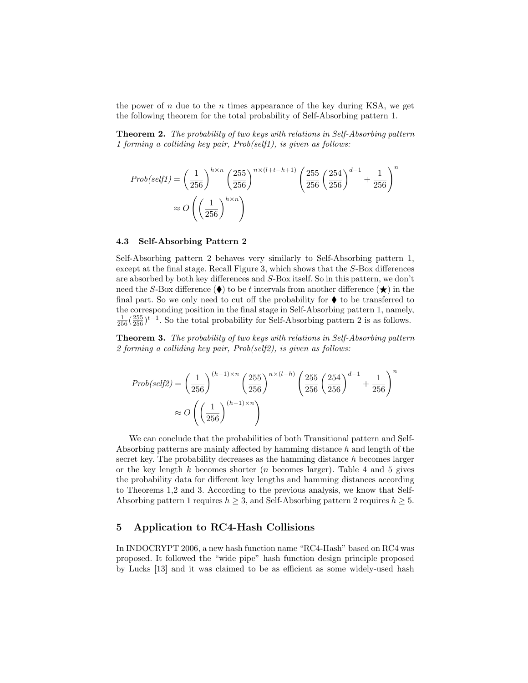the power of n due to the n times appearance of the key during KSA, we get the following theorem for the total probability of Self-Absorbing pattern 1.

Theorem 2. The probability of two keys with relations in Self-Absorbing pattern 1 forming a colliding key pair, Prob(self1), is given as follows:

$$
Prob(self1) = \left(\frac{1}{256}\right)^{h \times n} \left(\frac{255}{256}\right)^{n \times (l+t-h+1)} \left(\frac{255}{256} \left(\frac{254}{256}\right)^{d-1} + \frac{1}{256}\right)^n
$$

$$
\approx O\left(\left(\frac{1}{256}\right)^{h \times n}\right)
$$

#### 4.3 Self-Absorbing Pattern 2

Self-Absorbing pattern 2 behaves very similarly to Self-Absorbing pattern 1, except at the final stage. Recall Figure 3, which shows that the S-Box differences are absorbed by both key differences and S-Box itself. So in this pattern, we don't need the S-Box difference ( $\blacklozenge$ ) to be t intervals from another difference ( $\bigstar$ ) in the final part. So we only need to cut off the probability for  $\blacklozenge$  to be transferred to the corresponding position in the final stage in Self-Absorbing pattern 1, namely,  $\frac{1}{256}$  $\left(\frac{255}{256}\right)^{t-1}$ . So the total probability for Self-Absorbing pattern 2 is as follows.

Theorem 3. The probability of two keys with relations in Self-Absorbing pattern 2 forming a colliding key pair, Prob(self2), is given as follows:

$$
Prob(self2) = \left(\frac{1}{256}\right)^{(h-1)\times n} \left(\frac{255}{256}\right)^{n \times (l-h)} \left(\frac{255}{256}\left(\frac{254}{256}\right)^{d-1} + \frac{1}{256}\right)^n
$$

$$
\approx O\left(\left(\frac{1}{256}\right)^{(h-1)\times n}\right)
$$

We can conclude that the probabilities of both Transitional pattern and Self-Absorbing patterns are mainly affected by hamming distance  $h$  and length of the secret key. The probability decreases as the hamming distance  $h$  becomes larger or the key length  $k$  becomes shorter  $(n)$  becomes larger). Table 4 and 5 gives the probability data for different key lengths and hamming distances according to Theorems 1,2 and 3. According to the previous analysis, we know that Self-Absorbing pattern 1 requires  $h \geq 3$ , and Self-Absorbing pattern 2 requires  $h \geq 5$ .

## 5 Application to RC4-Hash Collisions

In INDOCRYPT 2006, a new hash function name "RC4-Hash" based on RC4 was proposed. It followed the "wide pipe" hash function design principle proposed by Lucks [13] and it was claimed to be as efficient as some widely-used hash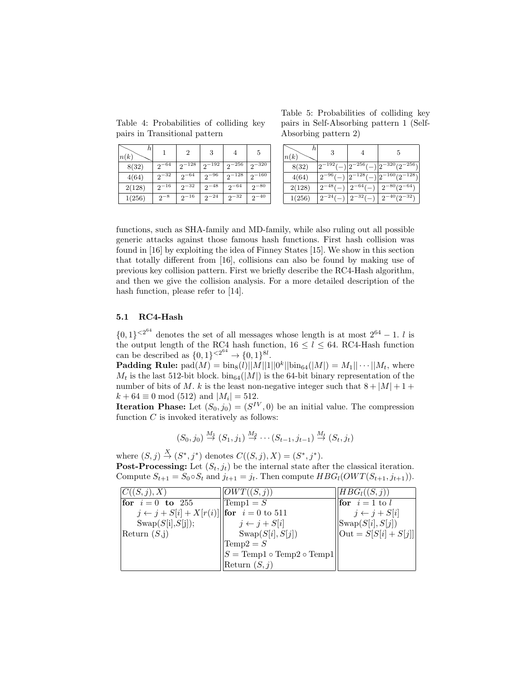Table 4: Probabilities of colliding key pairs in Transitional pattern

| h<br>n(k) |           | 2          | 3          |               | 5             |
|-----------|-----------|------------|------------|---------------|---------------|
| 8(32)     | $2^{-64}$ | $2^{-128}$ | $2^{-192}$ | $2^{-256}$    | $2^{-320}$    |
| 4(64)     | $2^{-32}$ | $2^{-64}$  | $2^{-96}$  | $2^{-128}$    | $2^{-160}$    |
| 2(128)    | $2^{-16}$ | $2^{-32}$  | $2^{-48}$  | $-64$<br>9    | $2^{-80}$     |
| 1(256)    | $2^{-8}$  | $2^{-16}$  | $2^{-24}$  | $^{-32}$<br>2 | $^{-40}$<br>9 |

Table 5: Probabilities of colliding key pairs in Self-Absorbing pattern 1 (Self-Absorbing pattern 2)

| n<br>n(k) | 3                       |        | b.                                                    |
|-----------|-------------------------|--------|-------------------------------------------------------|
| 8(32)     | $-192($                 |        | $2^{-256}(-)$  2 <sup>-320</sup> (2 <sup>-256</sup> ) |
| 4(64)     | $2^{-96}$               | -1287  | $160(2^{-128})$                                       |
| 2(128)    | $-48l$<br>$\mathcal{P}$ | $-64/$ | $^{-80}$ (2 <sup>-64</sup> )<br>9                     |
| 1(256)    | -24<br>ി                | $-321$ | $^{40}(2^{-32})$<br>$\mathcal{P}$                     |

functions, such as SHA-family and MD-family, while also ruling out all possible generic attacks against those famous hash functions. First hash collision was found in [16] by exploiting the idea of Finney States [15]. We show in this section that totally different from [16], collisions can also be found by making use of previous key collision pattern. First we briefly describe the RC4-Hash algorithm, and then we give the collision analysis. For a more detailed description of the hash function, please refer to [14].

#### 5.1 RC4-Hash

 $\{0,1\}^{<2^{64}}$  denotes the set of all messages whose length is at most  $2^{64} - 1$ . *l* is the output length of the RC4 hash function,  $16 \le l \le 64$ . RC4-Hash function can be described as  $\{0,1\}^{<2^{64}} \to \{0,1\}^{8l}$ .

**Padding Rule:**  $\text{pad}(M) = \text{bin}_{8}(l) ||M|| 1 || 0^{k} || \text{bin}_{64}(M) || = M_{1} || \cdots || M_{t},$  where  $M_t$  is the last 512-bit block.  $\text{bin}_{64}(|M|)$  is the 64-bit binary representation of the number of bits of M. k is the least non-negative integer such that  $8 + |M| + 1 +$  $k + 64 \equiv 0 \mod (512)$  and  $|M_i| = 512$ .

**Iteration Phase:** Let  $(S_0, j_0) = (S^{IV}, 0)$  be an initial value. The compression function  $C$  is invoked iteratively as follows:

$$
(S_0, j_0) \stackrel{M_1}{\rightarrow} (S_1, j_1) \stackrel{M_2}{\rightarrow} \cdots (S_{t-1}, j_{t-1}) \stackrel{M_t}{\rightarrow} (S_t, j_t)
$$

where  $(S, j) \stackrel{X}{\rightarrow} (S^*, j^*)$  denotes  $C((S, j), X) = (S^*, j^*)$ . **Post-Processing:** Let  $(S_t, j_t)$  be the internal state after the classical iteration. Compute  $S_{t+1} = S_0 \circ S_t$  and  $j_{t+1} = j_t$ . Then compute  $HBG_l(OWT(S_{t+1}, j_{t+1}))$ .

| C((S, j), X)                                                  | OWT((S, j))                                                          | $HBG_l((S,j))$                                           |
|---------------------------------------------------------------|----------------------------------------------------------------------|----------------------------------------------------------|
| <b>for</b> $i=0$ to 255                                       | $\text{Temp1} = S$                                                   | $\overline{\mathbf{for}} \quad i=1 \text{ to } l$        |
| $j \leftarrow j + S[i] + X[r(i)]  $ <b>for</b> $i = 0$ to 511 |                                                                      | $j \leftarrow j + S[i]$                                  |
| $\text{Swap}(S[i], S[j]);$                                    | $j \leftarrow j + S[i]$                                              | $ {\rm Swap}(S[i],S[j]) $                                |
| Return $(S,j)$                                                | $\text{Swap}(S[i], S[j])$                                            | $\left \left  \text{Out} = S[S[i] + S[j] \right \right $ |
|                                                               | $\text{Temp2} = S$                                                   |                                                          |
|                                                               | $\vert S = \text{Temp1} \circ \text{Temp2} \circ \text{Temp1} \vert$ |                                                          |
|                                                               | Return $(S, j)$                                                      |                                                          |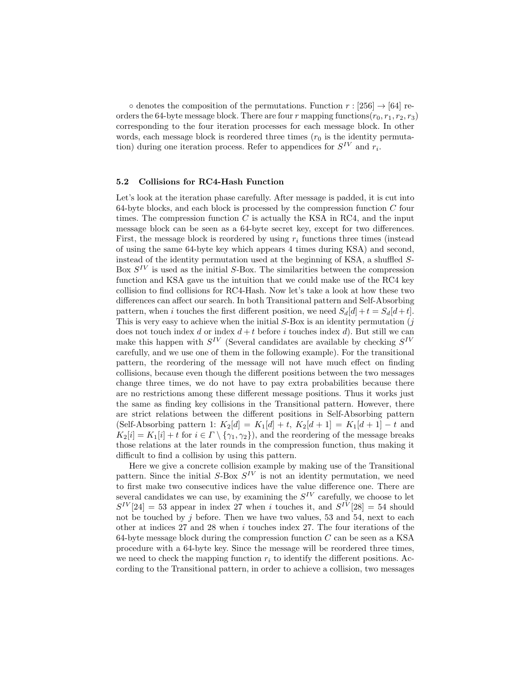$\circ$  denotes the composition of the permutations. Function  $r : [256] \rightarrow [64]$  reorders the 64-byte message block. There are four r mapping functions  $(r_0, r_1, r_2, r_3)$ corresponding to the four iteration processes for each message block. In other words, each message block is reordered three times  $(r_0)$  is the identity permutation) during one iteration process. Refer to appendices for  $S^{IV}$  and  $r_i$ .

#### 5.2 Collisions for RC4-Hash Function

Let's look at the iteration phase carefully. After message is padded, it is cut into 64-byte blocks, and each block is processed by the compression function  $C$  four times. The compression function  $C$  is actually the KSA in RC4, and the input message block can be seen as a 64-byte secret key, except for two differences. First, the message block is reordered by using  $r_i$  functions three times (instead of using the same 64-byte key which appears 4 times during KSA) and second, instead of the identity permutation used at the beginning of KSA, a shuffled S-Box  $S^{IV}$  is used as the initial S-Box. The similarities between the compression function and KSA gave us the intuition that we could make use of the RC4 key collision to find collisions for RC4-Hash. Now let's take a look at how these two differences can affect our search. In both Transitional pattern and Self-Absorbing pattern, when i touches the first different position, we need  $S_d[d] + t = S_d[d+t]$ . This is very easy to achieve when the initial  $S$ -Box is an identity permutation  $(j$ does not touch index d or index  $d + t$  before i touches index d). But still we can make this happen with  $S^{IV}$  (Several candidates are available by checking  $S^{IV}$ carefully, and we use one of them in the following example). For the transitional pattern, the reordering of the message will not have much effect on finding collisions, because even though the different positions between the two messages change three times, we do not have to pay extra probabilities because there are no restrictions among these different message positions. Thus it works just the same as finding key collisions in the Transitional pattern. However, there are strict relations between the different positions in Self-Absorbing pattern (Self-Absorbing pattern 1:  $K_2[d] = K_1[d] + t$ ,  $K_2[d+1] = K_1[d+1] - t$  and  $K_2[i] = K_1[i] + t$  for  $i \in \Gamma \setminus {\gamma_1, \gamma_2}$ , and the reordering of the message breaks those relations at the later rounds in the compression function, thus making it difficult to find a collision by using this pattern.

Here we give a concrete collision example by making use of the Transitional pattern. Since the initial  $S$ -Box  $S^{IV}$  is not an identity permutation, we need to first make two consecutive indices have the value difference one. There are several candidates we can use, by examining the  $S^{IV}$  carefully, we choose to let  $S^{IV}[24] = 53$  appear in index 27 when i touches it, and  $S^{IV}[28] = 54$  should not be touched by  $j$  before. Then we have two values, 53 and 54, next to each other at indices 27 and 28 when i touches index 27. The four iterations of the 64-byte message block during the compression function  $C$  can be seen as a KSA procedure with a 64-byte key. Since the message will be reordered three times, we need to check the mapping function  $r_i$  to identify the different positions. According to the Transitional pattern, in order to achieve a collision, two messages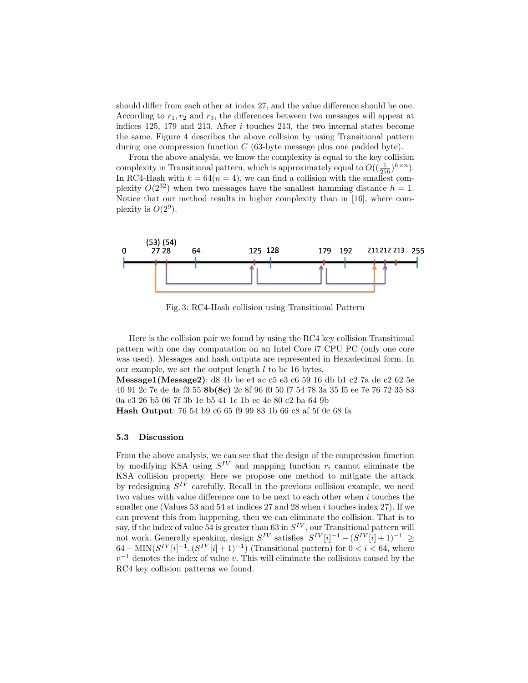should differ from each other at index 27, and the value difference should be one. According to  $r_1, r_2$  and  $r_3$ , the differences between two messages will appear at indices 125, 179 and 213. After i touches 213, the two internal states become the same. Figure 4 describes the above collision by using Transitional pattern during one compression function  $C$  (63-byte message plus one padded byte).

From the above analysis, we know the complexity is equal to the key collision complexity in Transitional pattern, which is approximately equal to  $O((\frac{1}{256})^{h \times n})$ . In RC4-Hash with  $k = 64(n = 4)$ , we can find a collision with the smallest complexity  $O(2^{32})$  when two messages have the smallest hamming distance  $h = 1$ . Notice that our method results in higher complexity than in [16], where complexity is  $O(2^9)$ .



Fig. 3: RC4-Hash collision using Transitional Pattern

Here is the collision pair we found by using the RC4 key collision Transitional pattern with one day computation on an Intel Core i7 CPU PC (only one core was used). Messages and hash outputs are represented in Hexadecimal form. In our example, we set the output length  $l$  to be 16 bytes.

Message1(Message2): d8 4b be e4 ac c5 e3 c6 59 16 db b1 c2 7a de c2 62 5e 40 91 2c 7e de 4a f3 55 8b(8c) 2c 8f 96 f0 50 f7 54 78 3a 35 f5 ee 7e 76 72 35 83 0a e3 26 b5 06 7f 3b 1e b5 41 1c 1b ec 4e 80 c2 ba 64 9b

Hash Output: 76 54 b9 c6 65 f9 99 83 1b 66 c8 af 5f 0c 68 fa

#### 5.3 Discussion

From the above analysis, we can see that the design of the compression function by modifying KSA using  $S^{IV}$  and mapping function  $r_i$  cannot eliminate the KSA collision property. Here we propose one method to mitigate the attack by redesigning  $S^{IV}$  carefully. Recall in the previous collision example, we need two values with value difference one to be next to each other when  $i$  touches the smaller one (Values 53 and 54 at indices  $27$  and  $28$  when i touches index  $27$ ). If we can prevent this from happening, then we can eliminate the collision. That is to say, if the index of value 54 is greater than 63 in  $S^{IV}$ , our Transitional pattern will not work. Generally speaking, design  $S^{IV}$  satisfies  $|S^{IV}[i]^{-1} - (S^{IV}[i] + 1)^{-1}| \geq$  $64-\text{MIN}(S^{IV}[i]^{-1}, (S^{IV}[i]+1)^{-1})$  (Transitional pattern) for  $0 < i < 64$ , where  $v^{-1}$  denotes the index of value v. This will eliminate the collisions caused by the RC4 key collision patterns we found.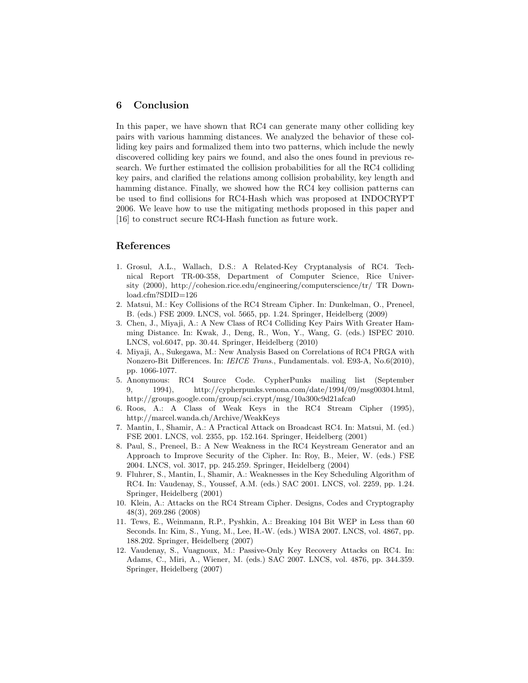## 6 Conclusion

In this paper, we have shown that RC4 can generate many other colliding key pairs with various hamming distances. We analyzed the behavior of these colliding key pairs and formalized them into two patterns, which include the newly discovered colliding key pairs we found, and also the ones found in previous research. We further estimated the collision probabilities for all the RC4 colliding key pairs, and clarified the relations among collision probability, key length and hamming distance. Finally, we showed how the RC4 key collision patterns can be used to find collisions for RC4-Hash which was proposed at INDOCRYPT 2006. We leave how to use the mitigating methods proposed in this paper and [16] to construct secure RC4-Hash function as future work.

## References

- 1. Grosul, A.L., Wallach, D.S.: A Related-Key Cryptanalysis of RC4. Technical Report TR-00-358, Department of Computer Science, Rice University (2000), http://cohesion.rice.edu/engineering/computerscience/tr/ TR Download.cfm?SDID=126
- 2. Matsui, M.: Key Collisions of the RC4 Stream Cipher. In: Dunkelman, O., Preneel, B. (eds.) FSE 2009. LNCS, vol. 5665, pp. 1.24. Springer, Heidelberg (2009)
- 3. Chen, J., Miyaji, A.: A New Class of RC4 Colliding Key Pairs With Greater Hamming Distance. In: Kwak, J., Deng, R., Won, Y., Wang, G. (eds.) ISPEC 2010. LNCS, vol.6047, pp. 30.44. Springer, Heidelberg (2010)
- 4. Miyaji, A., Sukegawa, M.: New Analysis Based on Correlations of RC4 PRGA with Nonzero-Bit Differences. In: IEICE Trans., Fundamentals. vol. E93-A, No.6(2010), pp. 1066-1077.
- 5. Anonymous: RC4 Source Code. CypherPunks mailing list (September 9, 1994), http://cypherpunks.venona.com/date/1994/09/msg00304.html, http://groups.google.com/group/sci.crypt/msg/10a300c9d21afca0
- 6. Roos, A.: A Class of Weak Keys in the RC4 Stream Cipher (1995), http://marcel.wanda.ch/Archive/WeakKeys
- 7. Mantin, I., Shamir, A.: A Practical Attack on Broadcast RC4. In: Matsui, M. (ed.) FSE 2001. LNCS, vol. 2355, pp. 152.164. Springer, Heidelberg (2001)
- 8. Paul, S., Preneel, B.: A New Weakness in the RC4 Keystream Generator and an Approach to Improve Security of the Cipher. In: Roy, B., Meier, W. (eds.) FSE 2004. LNCS, vol. 3017, pp. 245.259. Springer, Heidelberg (2004)
- 9. Fluhrer, S., Mantin, I., Shamir, A.: Weaknesses in the Key Scheduling Algorithm of RC4. In: Vaudenay, S., Youssef, A.M. (eds.) SAC 2001. LNCS, vol. 2259, pp. 1.24. Springer, Heidelberg (2001)
- 10. Klein, A.: Attacks on the RC4 Stream Cipher. Designs, Codes and Cryptography 48(3), 269.286 (2008)
- 11. Tews, E., Weinmann, R.P., Pyshkin, A.: Breaking 104 Bit WEP in Less than 60 Seconds. In: Kim, S., Yung, M., Lee, H.-W. (eds.) WISA 2007. LNCS, vol. 4867, pp. 188.202. Springer, Heidelberg (2007)
- 12. Vaudenay, S., Vuagnoux, M.: Passive-Only Key Recovery Attacks on RC4. In: Adams, C., Miri, A., Wiener, M. (eds.) SAC 2007. LNCS, vol. 4876, pp. 344.359. Springer, Heidelberg (2007)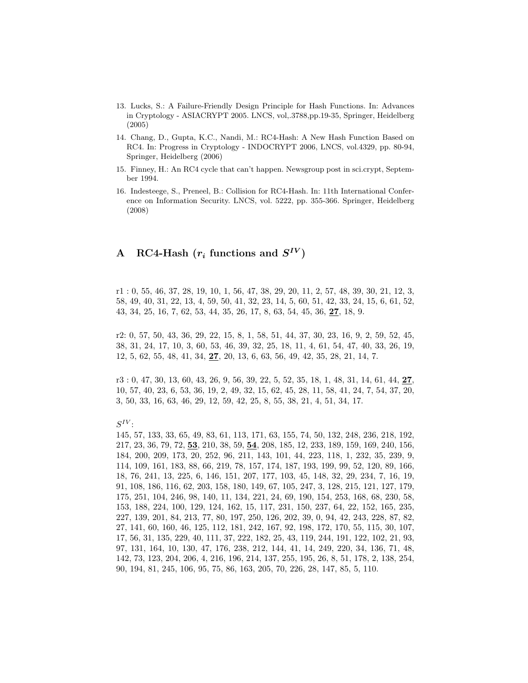- 13. Lucks, S.: A Failure-Friendly Design Principle for Hash Functions. In: Advances in Cryptology - ASIACRYPT 2005. LNCS, vol,.3788,pp.19-35, Springer, Heidelberg (2005)
- 14. Chang, D., Gupta, K.C., Nandi, M.: RC4-Hash: A New Hash Function Based on RC4. In: Progress in Cryptology - INDOCRYPT 2006, LNCS, vol.4329, pp. 80-94, Springer, Heidelberg (2006)
- 15. Finney, H.: An RC4 cycle that can't happen. Newsgroup post in sci.crypt, September 1994.
- 16. Indesteege, S., Preneel, B.: Collision for RC4-Hash. In: 11th International Conference on Information Security. LNCS, vol. 5222, pp. 355-366. Springer, Heidelberg (2008)

## A RC4-Hash  $(r_i$  functions and  $S^{IV})$

r1 : 0, 55, 46, 37, 28, 19, 10, 1, 56, 47, 38, 29, 20, 11, 2, 57, 48, 39, 30, 21, 12, 3, 58, 49, 40, 31, 22, 13, 4, 59, 50, 41, 32, 23, 14, 5, 60, 51, 42, 33, 24, 15, 6, 61, 52, 43, 34, 25, 16, 7, 62, 53, 44, 35, 26, 17, 8, 63, 54, 45, 36, 27, 18, 9.

r2: 0, 57, 50, 43, 36, 29, 22, 15, 8, 1, 58, 51, 44, 37, 30, 23, 16, 9, 2, 59, 52, 45, 38, 31, 24, 17, 10, 3, 60, 53, 46, 39, 32, 25, 18, 11, 4, 61, 54, 47, 40, 33, 26, 19, 12, 5, 62, 55, 48, 41, 34, 27, 20, 13, 6, 63, 56, 49, 42, 35, 28, 21, 14, 7.

 $r3: 0, 47, 30, 13, 60, 43, 26, 9, 56, 39, 22, 5, 52, 35, 18, 1, 48, 31, 14, 61, 44, 27,$ 10, 57, 40, 23, 6, 53, 36, 19, 2, 49, 32, 15, 62, 45, 28, 11, 58, 41, 24, 7, 54, 37, 20, 3, 50, 33, 16, 63, 46, 29, 12, 59, 42, 25, 8, 55, 38, 21, 4, 51, 34, 17.

 $S^{IV}$  :

145, 57, 133, 33, 65, 49, 83, 61, 113, 171, 63, 155, 74, 50, 132, 248, 236, 218, 192, 217, 23, 36, 79, 72, 53, 210, 38, 59, 54, 208, 185, 12, 233, 189, 159, 169, 240, 156, 184, 200, 209, 173, 20, 252, 96, 211, 143, 101, 44, 223, 118, 1, 232, 35, 239, 9, 114, 109, 161, 183, 88, 66, 219, 78, 157, 174, 187, 193, 199, 99, 52, 120, 89, 166, 18, 76, 241, 13, 225, 6, 146, 151, 207, 177, 103, 45, 148, 32, 29, 234, 7, 16, 19, 91, 108, 186, 116, 62, 203, 158, 180, 149, 67, 105, 247, 3, 128, 215, 121, 127, 179, 175, 251, 104, 246, 98, 140, 11, 134, 221, 24, 69, 190, 154, 253, 168, 68, 230, 58, 153, 188, 224, 100, 129, 124, 162, 15, 117, 231, 150, 237, 64, 22, 152, 165, 235, 227, 139, 201, 84, 213, 77, 80, 197, 250, 126, 202, 39, 0, 94, 42, 243, 228, 87, 82, 27, 141, 60, 160, 46, 125, 112, 181, 242, 167, 92, 198, 172, 170, 55, 115, 30, 107, 17, 56, 31, 135, 229, 40, 111, 37, 222, 182, 25, 43, 119, 244, 191, 122, 102, 21, 93, 97, 131, 164, 10, 130, 47, 176, 238, 212, 144, 41, 14, 249, 220, 34, 136, 71, 48, 142, 73, 123, 204, 206, 4, 216, 196, 214, 137, 255, 195, 26, 8, 51, 178, 2, 138, 254, 90, 194, 81, 245, 106, 95, 75, 86, 163, 205, 70, 226, 28, 147, 85, 5, 110.